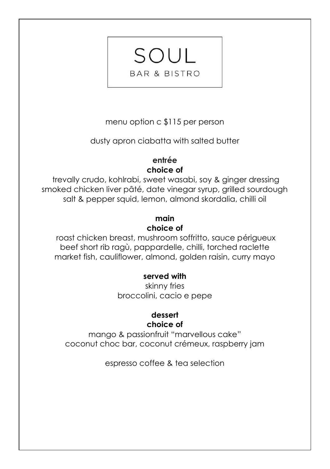menu option c \$115 per person

SOUL

**BAR & BISTRO** 

dusty apron ciabatta with salted butter

# **entrée choice of**

trevally crudo, kohlrabi, sweet wasabi, soy & ginger dressing smoked chicken liver pâté, date vinegar syrup, grilled sourdough salt & pepper squid, lemon, almond skordalia, chilli oil

# **main choice of**

roast chicken breast, mushroom soffritto, sauce périgueux beef short rib ragù, pappardelle, chilli, torched raclette market fish, cauliflower, almond, golden raisin, curry mayo

# **served with**

skinny fries broccolini, cacio e pepe

### **dessert choice of**

mango & passionfruit "marvellous cake" coconut choc bar, coconut crémeux, raspberry jam

espresso coffee & tea selection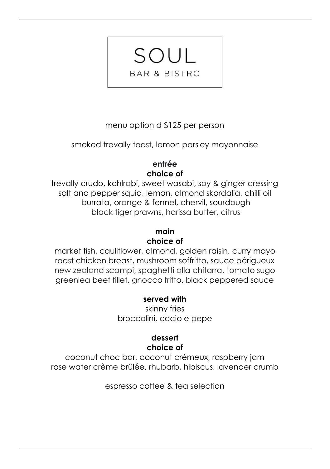# menu option d \$125 per person

SOUL

**BAR & BISTRO** 

smoked trevally toast, lemon parsley mayonnaise

### **entrée choice of**

trevally crudo, kohlrabi, sweet wasabi, soy & ginger dressing salt and pepper squid, lemon, almond skordalia, chilli oil burrata, orange & fennel, chervil, sourdough black tiger prawns, harissa butter, citrus

### **main**

### **choice of**

market fish, cauliflower, almond, golden raisin, curry mayo roast chicken breast, mushroom soffritto, sauce périgueux new zealand scampi, spaghetti alla chitarra, tomato sugo greenlea beef fillet, gnocco fritto, black peppered sauce

### **served with**

skinny fries broccolini, cacio e pepe

#### **dessert choice of**

coconut choc bar, coconut crémeux, raspberry jam rose water crème brûlée, rhubarb, hibiscus, lavender crumb

espresso coffee & tea selection